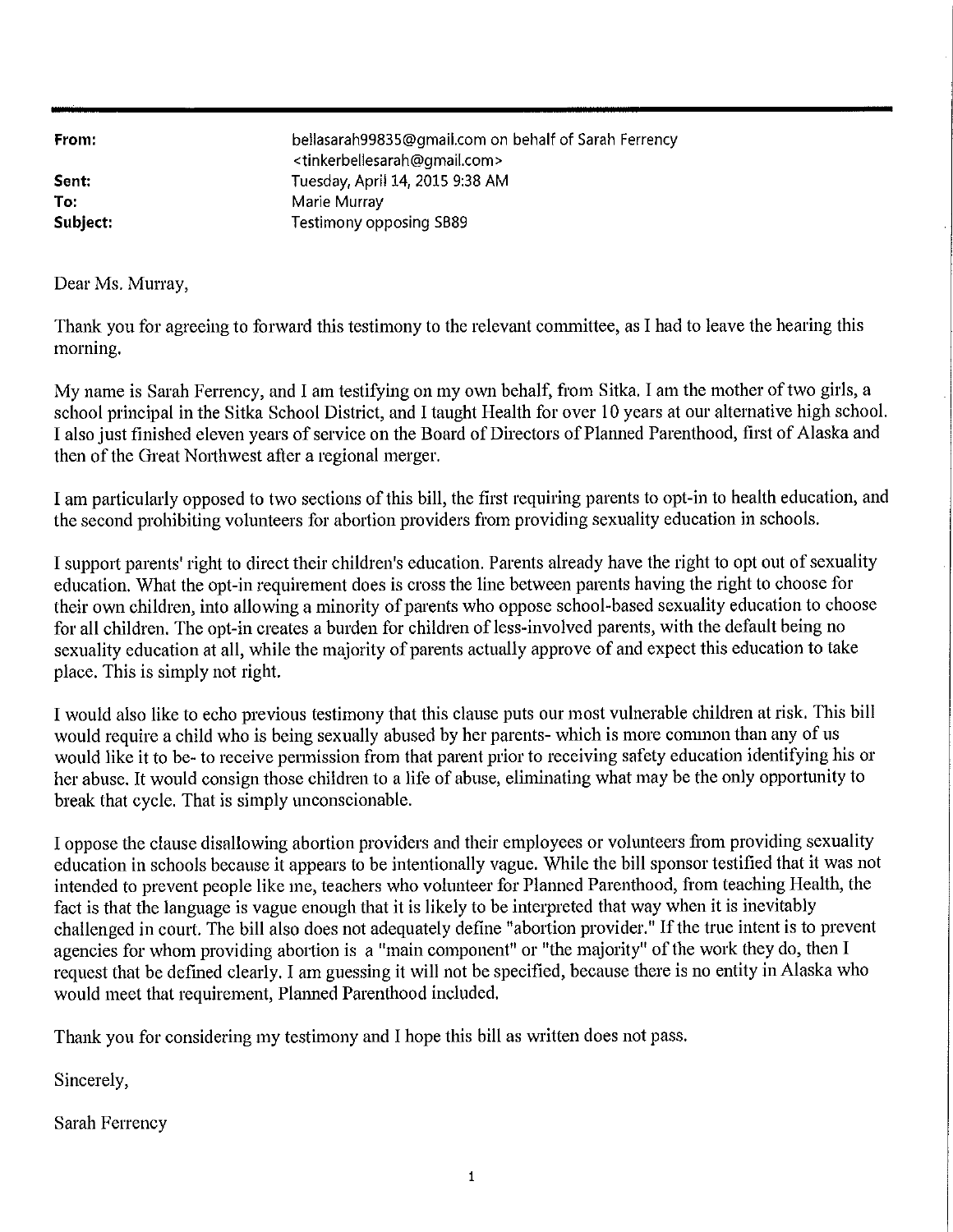From:

Sent: To: Subject: bellasarah99835@gmail.com on behalf of Sarah Ferrency <tinkerbellesarah@gmail.com> Tuesday, April 14, 2015 9:38 AM Marie Murray **Testimony opposing SB89** 

Dear Ms. Murray,

Thank you for agreeing to forward this testimony to the relevant committee, as I had to leave the hearing this morning.

My name is Sarah Ferrency, and I am testifying on my own behalf, from Sitka. I am the mother of two girls, a school principal in the Sitka School District, and I taught Health for over 10 years at our alternative high school. I also just finished eleven years of service on the Board of Directors of Planned Parenthood, first of Alaska and then of the Great Northwest after a regional merger.

I am particularly opposed to two sections of this bill, the first requiring parents to opt-in to health education, and the second prohibiting volunteers for abortion providers from providing sexuality education in schools.

I support parents' right to direct their children's education. Parents already have the right to opt out of sexuality education. What the opt-in requirement does is cross the line between parents having the right to choose for their own children, into allowing a minority of parents who oppose school-based sexuality education to choose for all children. The opt-in creates a burden for children of less-involved parents, with the default being no sexuality education at all, while the majority of parents actually approve of and expect this education to take place. This is simply not right.

I would also like to echo previous testimony that this clause puts our most vulnerable children at risk. This bill would require a child who is being sexually abused by her parents- which is more cominon than any of us would like it to be- to receive permission from that parent prior to receiving safety education identifying his or her abuse. It would consign those children to a life of abuse, eliminating what may be the only opportunity to break that cycle. That is simply unconscionable.

I oppose the clause disallowing abortion providers and their employees or volunteers from providing sexuality education in schools because it appears to be intentionally vague. While the bill sponsor testified that it was not intended to prevent people like me, teachers who volunteer for Planned Parenthood, from teaching Health, the fact is that the language is vague enough that it is likely to be interpreted that way when it is inevitably challenged in court. The bill also does not adequately define "abortion provider." If the true intent is to prevent agencies for whom providing abortion is a "main component" or "the majority" of the work they do, then I request that be defined clearly. I am guessing it will not be specified, because there is no entity in Alaska who would meet that requirement, Planned Parenthood included.

Thank you for considering my testimony and I hope this bill as written does not pass.

Sincerely,

**Sarah Ferrency**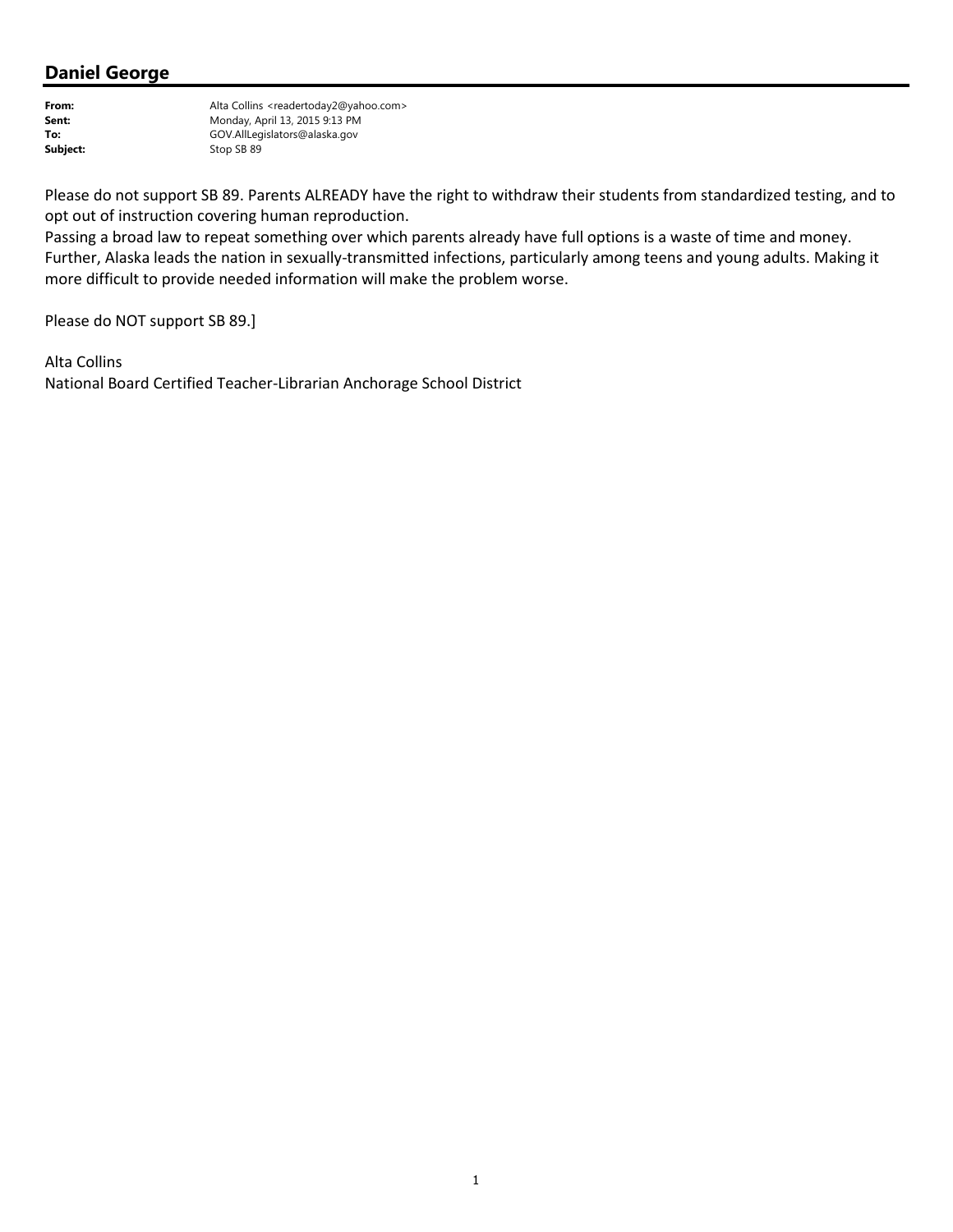From: Alta Collins <readertoday2@yahoo.com> Sent: Monday, April 13, 2015 9:13 PM To: GOV.AllLegislators@alaska.gov<br>
Stop SB 89 Stop SB 89

Please do not support SB 89. Parents ALREADY have the right to withdraw their students from standardized testing, and to opt out of instruction covering human reproduction.

Passing a broad law to repeat something over which parents already have full options is a waste of time and money. Further, Alaska leads the nation in sexually-transmitted infections, particularly among teens and young adults. Making it more difficult to provide needed information will make the problem worse.

Please do NOT support SB 89.]

Alta Collins National Board Certified Teacher-Librarian Anchorage School District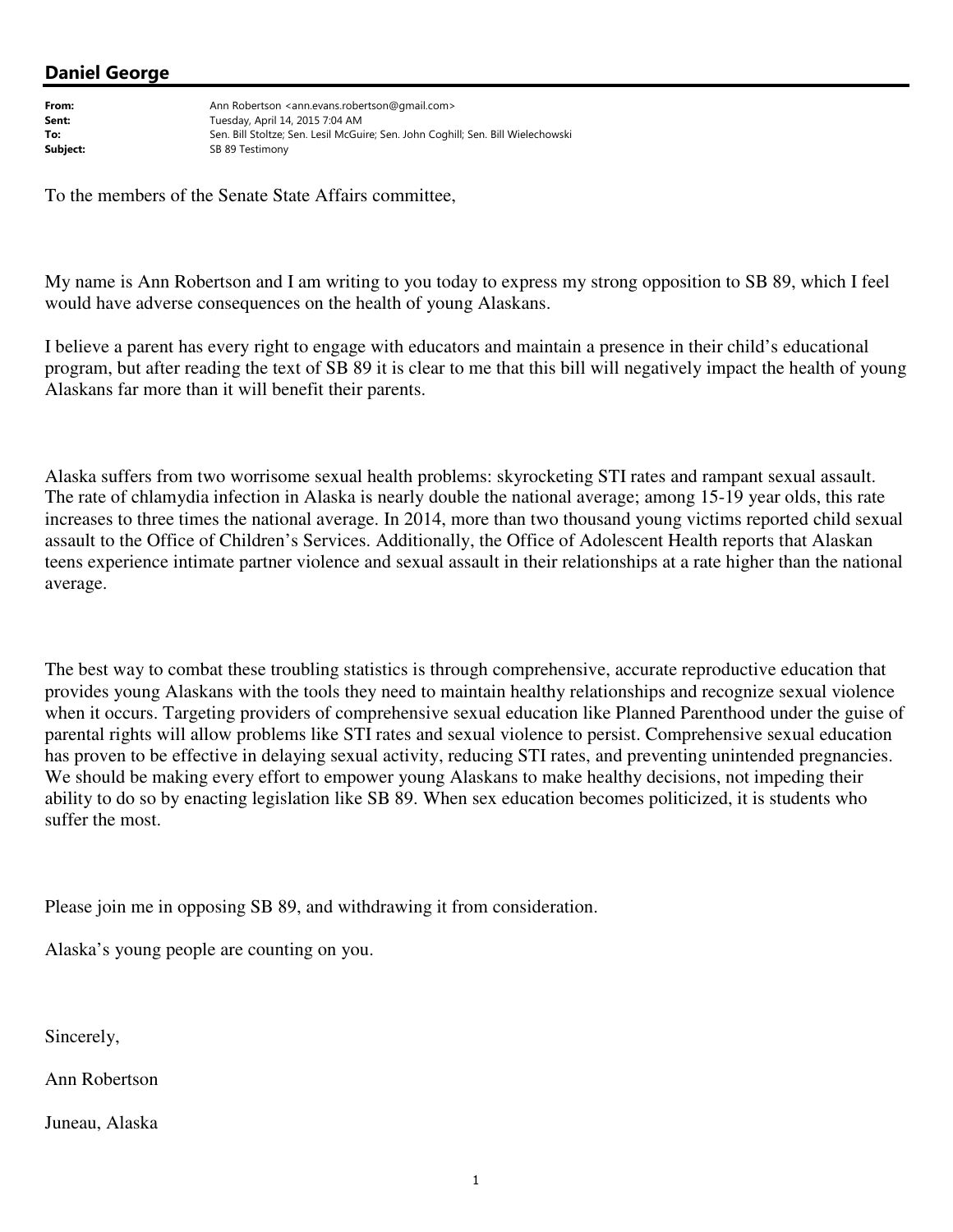From: Ann Robertson <ann.evans.robertson@gmail.com> **Sent:** Tuesday, April 14, 2015 7:04 AM To: Sen. Bill Stoltze; Sen. Lesil McGuire; Sen. John Coghill; Sen. Bill Wielechowski Subject: Subject: SB 89 Testimony

To the members of the Senate State Affairs committee,

My name is Ann Robertson and I am writing to you today to express my strong opposition to SB 89, which I feel would have adverse consequences on the health of young Alaskans.

I believe a parent has every right to engage with educators and maintain a presence in their child's educational program, but after reading the text of SB 89 it is clear to me that this bill will negatively impact the health of young Alaskans far more than it will benefit their parents.

Alaska suffers from two worrisome sexual health problems: skyrocketing STI rates and rampant sexual assault. The rate of chlamydia infection in Alaska is nearly double the national average; among 15-19 year olds, this rate increases to three times the national average. In 2014, more than two thousand young victims reported child sexual assault to the Office of Children's Services. Additionally, the Office of Adolescent Health reports that Alaskan teens experience intimate partner violence and sexual assault in their relationships at a rate higher than the national average.

The best way to combat these troubling statistics is through comprehensive, accurate reproductive education that provides young Alaskans with the tools they need to maintain healthy relationships and recognize sexual violence when it occurs. Targeting providers of comprehensive sexual education like Planned Parenthood under the guise of parental rights will allow problems like STI rates and sexual violence to persist. Comprehensive sexual education has proven to be effective in delaying sexual activity, reducing STI rates, and preventing unintended pregnancies. We should be making every effort to empower young Alaskans to make healthy decisions, not impeding their ability to do so by enacting legislation like SB 89. When sex education becomes politicized, it is students who suffer the most.

Please join me in opposing SB 89, and withdrawing it from consideration.

Alaska's young people are counting on you.

Sincerely,

Ann Robertson

Juneau, Alaska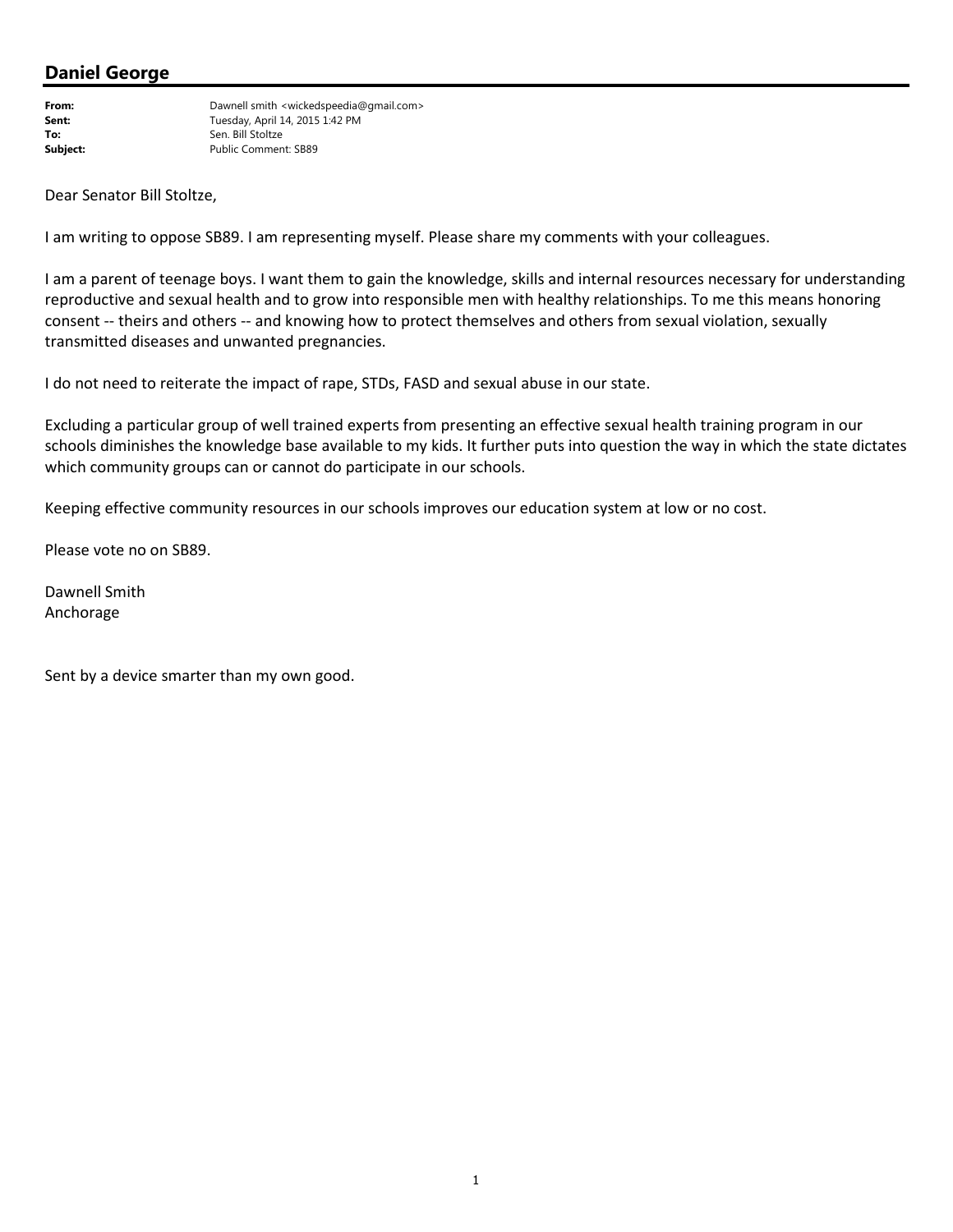From: Dawnell smith <wickedspeedia@gmail.com> **Sent:** Tuesday, April 14, 2015 1:42 PM To: Sen. Bill Stoltze<br>
Subject: Public Commen Public Comment: SB89

Dear Senator Bill Stoltze,

I am writing to oppose SB89. I am representing myself. Please share my comments with your colleagues.

I am a parent of teenage boys. I want them to gain the knowledge, skills and internal resources necessary for understanding reproductive and sexual health and to grow into responsible men with healthy relationships. To me this means honoring consent -- theirs and others -- and knowing how to protect themselves and others from sexual violation, sexually transmitted diseases and unwanted pregnancies.

I do not need to reiterate the impact of rape, STDs, FASD and sexual abuse in our state.

Excluding a particular group of well trained experts from presenting an effective sexual health training program in our schools diminishes the knowledge base available to my kids. It further puts into question the way in which the state dictates which community groups can or cannot do participate in our schools.

Keeping effective community resources in our schools improves our education system at low or no cost.

Please vote no on SB89.

Dawnell Smith Anchorage

Sent by a device smarter than my own good.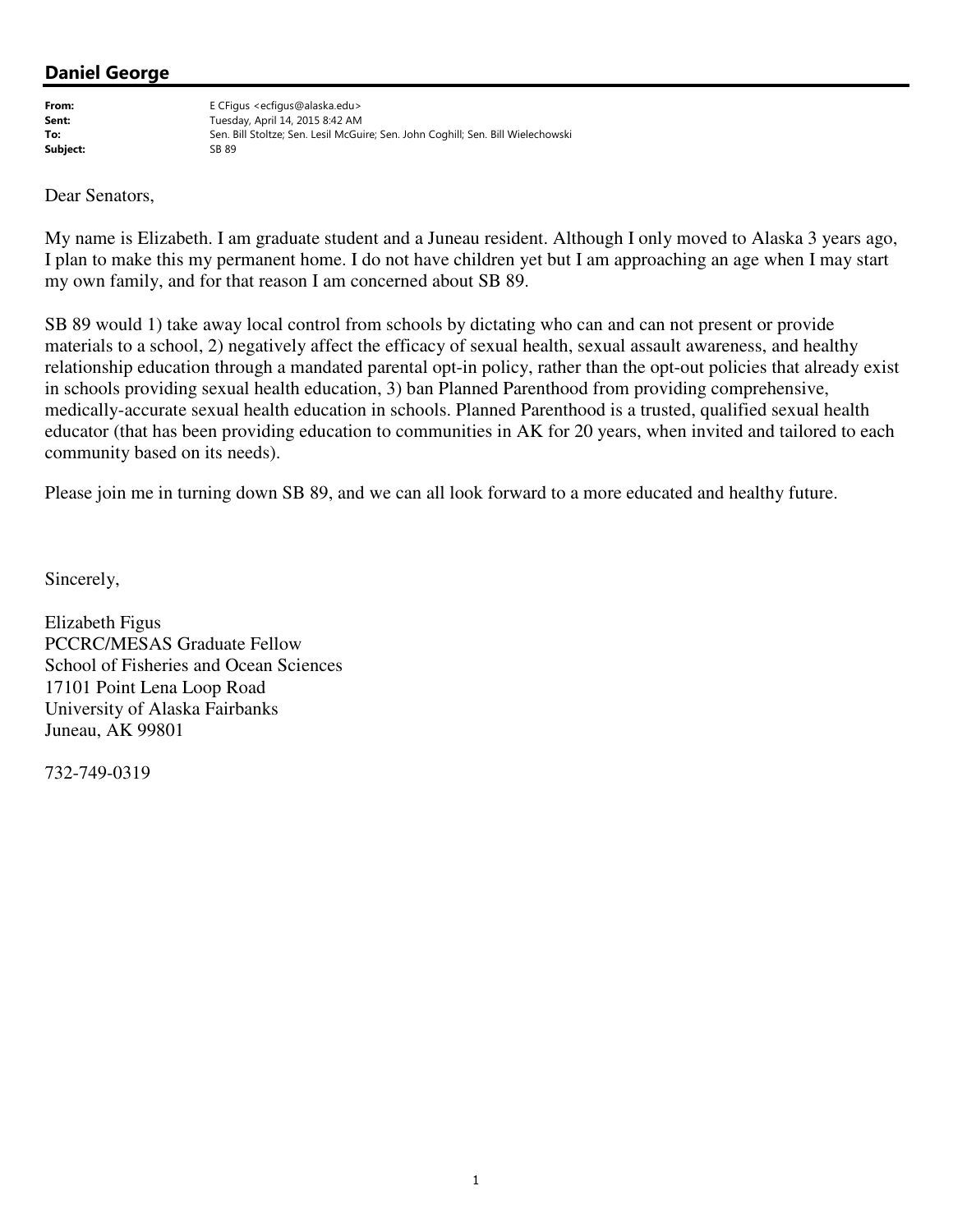Subject:

From: E CFigus <ecfigus@alaska.edu> **Sent:** Tuesday, April 14, 2015 8:42 AM To: Sen. Bill Stoltze; Sen. Lesil McGuire; Sen. John Coghill; Sen. Bill Wielechowski<br>Subject: Sang Sang Sang Sang Sang Sen. Lesil McGuire; Sen. John Coghill; Sen. Bill Wielechowski

Dear Senators,

My name is Elizabeth. I am graduate student and a Juneau resident. Although I only moved to Alaska 3 years ago, I plan to make this my permanent home. I do not have children yet but I am approaching an age when I may start my own family, and for that reason I am concerned about SB 89.

SB 89 would 1) take away local control from schools by dictating who can and can not present or provide materials to a school, 2) negatively affect the efficacy of sexual health, sexual assault awareness, and healthy relationship education through a mandated parental opt-in policy, rather than the opt-out policies that already exist in schools providing sexual health education, 3) ban Planned Parenthood from providing comprehensive, medically-accurate sexual health education in schools. Planned Parenthood is a trusted, qualified sexual health educator (that has been providing education to communities in AK for 20 years, when invited and tailored to each community based on its needs).

Please join me in turning down SB 89, and we can all look forward to a more educated and healthy future.

Sincerely,

Elizabeth Figus PCCRC/MESAS Graduate Fellow School of Fisheries and Ocean Sciences 17101 Point Lena Loop Road University of Alaska Fairbanks Juneau, AK 99801

732-749-0319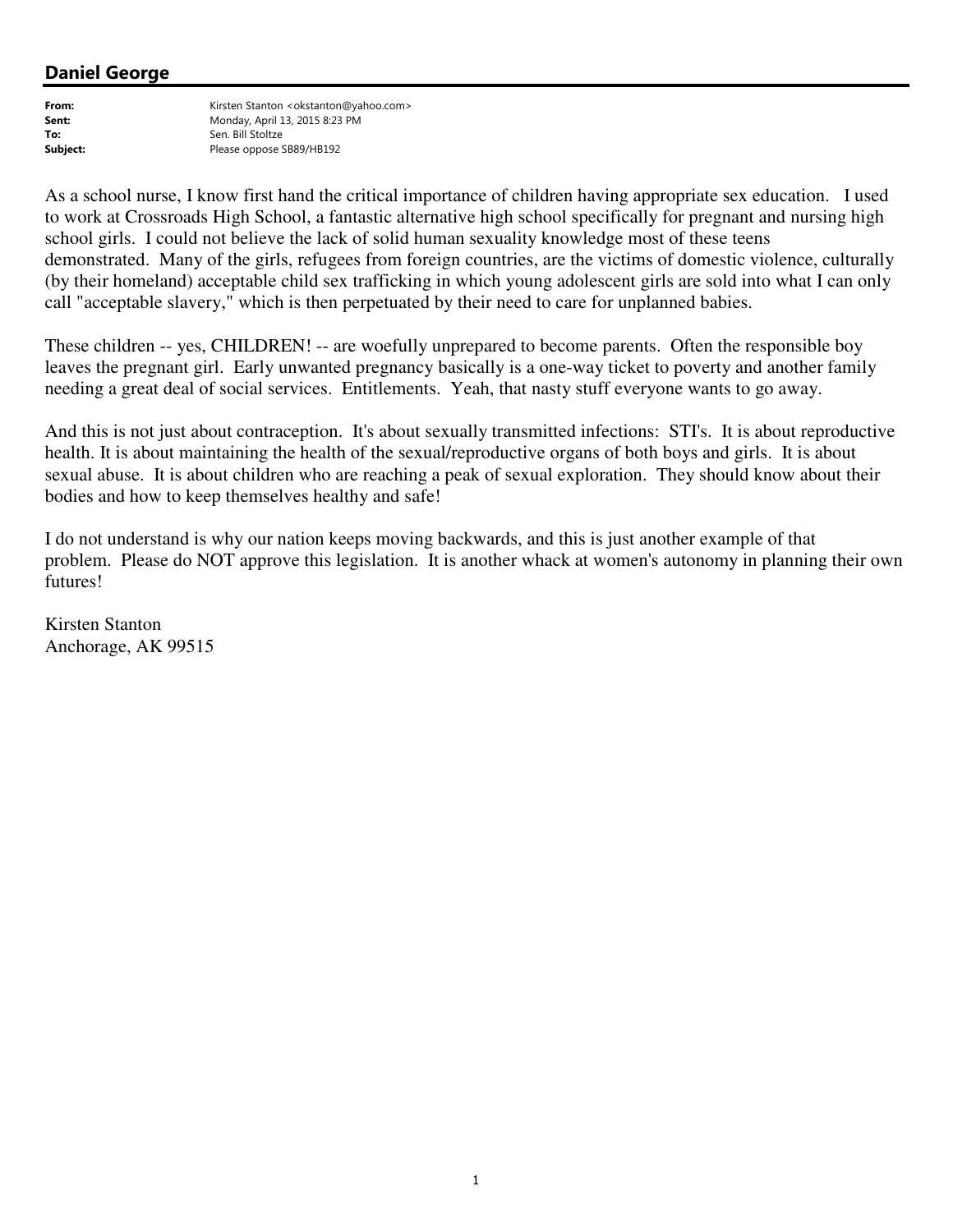From: Kirsten Stanton <okstanton@yahoo.com> **Sent:** Monday, April 13, 2015 8:23 PM To: Sen. Bill Stoltze Subject: Please oppose SB89/HB192

As a school nurse, I know first hand the critical importance of children having appropriate sex education. I used to work at Crossroads High School, a fantastic alternative high school specifically for pregnant and nursing high school girls. I could not believe the lack of solid human sexuality knowledge most of these teens demonstrated. Many of the girls, refugees from foreign countries, are the victims of domestic violence, culturally (by their homeland) acceptable child sex trafficking in which young adolescent girls are sold into what I can only call "acceptable slavery," which is then perpetuated by their need to care for unplanned babies.

These children -- yes, CHILDREN! -- are woefully unprepared to become parents. Often the responsible boy leaves the pregnant girl. Early unwanted pregnancy basically is a one-way ticket to poverty and another family needing a great deal of social services. Entitlements. Yeah, that nasty stuff everyone wants to go away.

And this is not just about contraception. It's about sexually transmitted infections: STI's. It is about reproductive health. It is about maintaining the health of the sexual/reproductive organs of both boys and girls. It is about sexual abuse. It is about children who are reaching a peak of sexual exploration. They should know about their bodies and how to keep themselves healthy and safe!

I do not understand is why our nation keeps moving backwards, and this is just another example of that problem. Please do NOT approve this legislation. It is another whack at women's autonomy in planning their own futures!

Kirsten Stanton Anchorage, AK 99515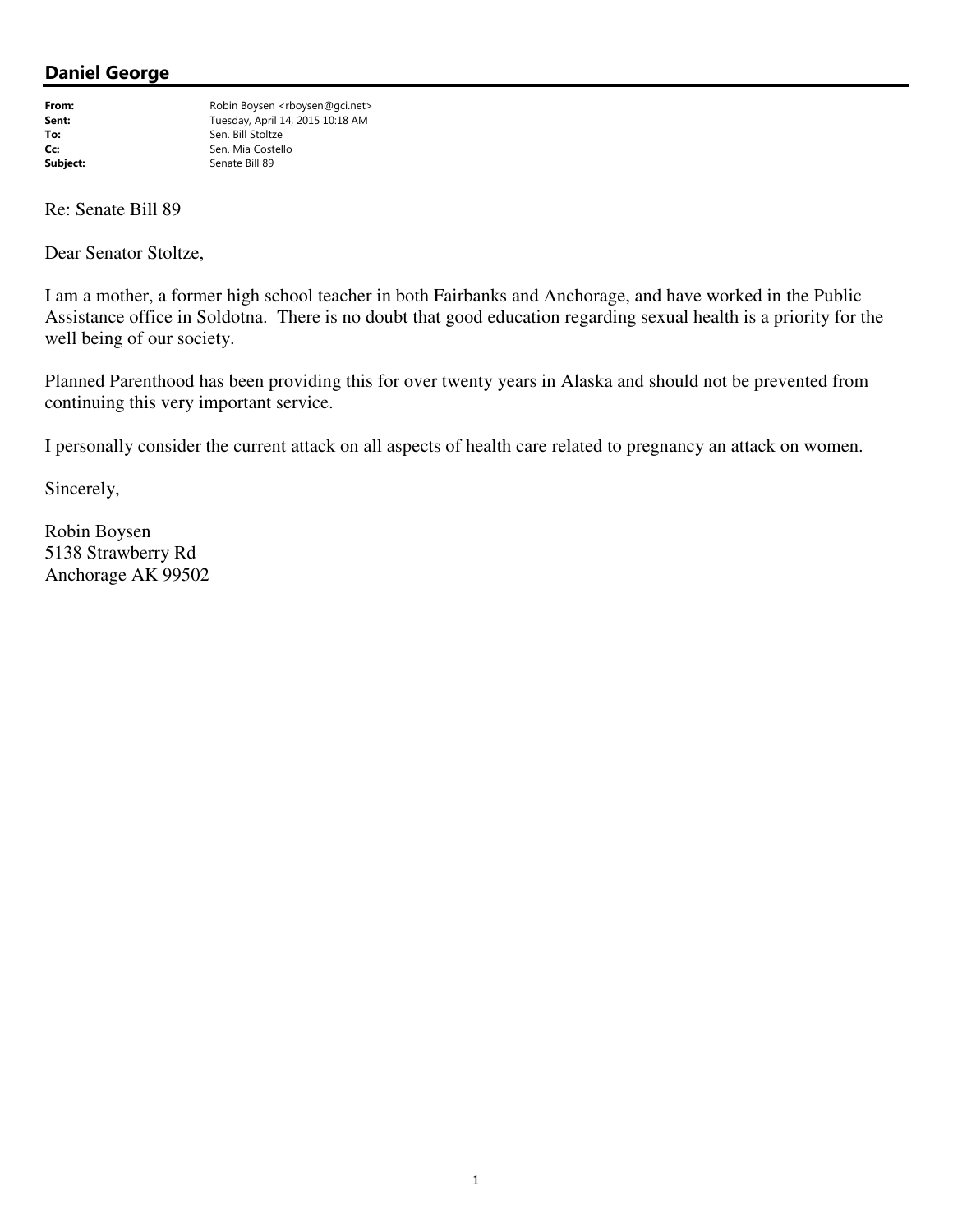From: Robin Boysen <rboysen@gci.net><br>
Fuesday, April 14, 2015 10:18 AM Tuesday, April 14, 2015 10:18 AM To: Sen. Bill Stoltze Controller Sen. Nia Costell Stoltze Sen. Mia Costell Stoltze Sen. Mia Costello Subject: Senate Bill 89

Re: Senate Bill 89

Dear Senator Stoltze,

I am a mother, a former high school teacher in both Fairbanks and Anchorage, and have worked in the Public Assistance office in Soldotna. There is no doubt that good education regarding sexual health is a priority for the well being of our society.

Planned Parenthood has been providing this for over twenty years in Alaska and should not be prevented from continuing this very important service.

I personally consider the current attack on all aspects of health care related to pregnancy an attack on women.

Sincerely,

Robin Boysen 5138 Strawberry Rd Anchorage AK 99502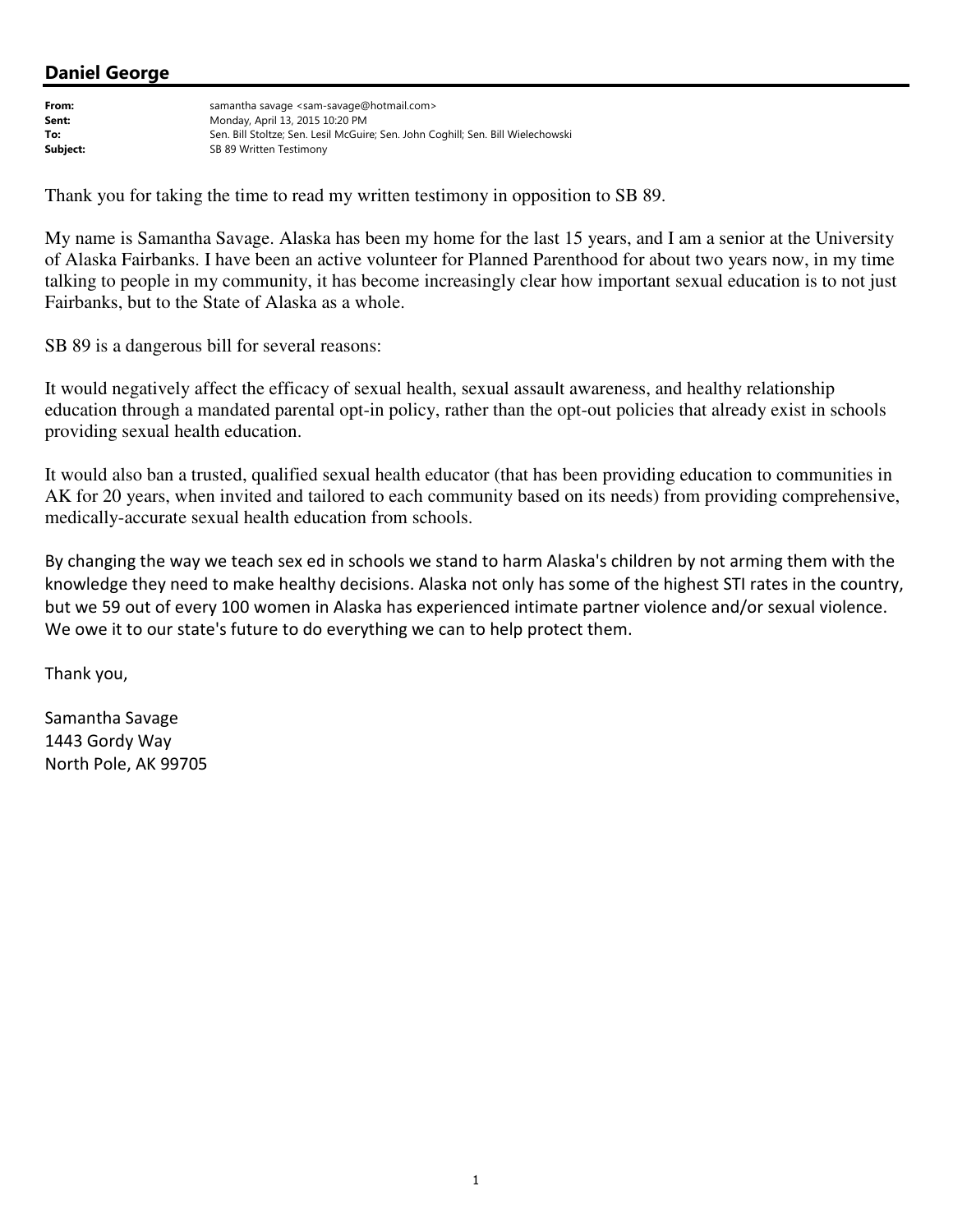From: samantha savage <sam-savage@hotmail.com> **Sent:** Monday, April 13, 2015 10:20 PM To: Sen. Bill Stoltze; Sen. Lesil McGuire; Sen. John Coghill; Sen. Bill Wielechowski Subject: Subject: SB 89 Written Testimony

Thank you for taking the time to read my written testimony in opposition to SB 89.

My name is Samantha Savage. Alaska has been my home for the last 15 years, and I am a senior at the University of Alaska Fairbanks. I have been an active volunteer for Planned Parenthood for about two years now, in my time talking to people in my community, it has become increasingly clear how important sexual education is to not just Fairbanks, but to the State of Alaska as a whole.

SB 89 is a dangerous bill for several reasons:

It would negatively affect the efficacy of sexual health, sexual assault awareness, and healthy relationship education through a mandated parental opt-in policy, rather than the opt-out policies that already exist in schools providing sexual health education.

It would also ban a trusted, qualified sexual health educator (that has been providing education to communities in AK for 20 years, when invited and tailored to each community based on its needs) from providing comprehensive, medically-accurate sexual health education from schools.

By changing the way we teach sex ed in schools we stand to harm Alaska's children by not arming them with the knowledge they need to make healthy decisions. Alaska not only has some of the highest STI rates in the country, but we 59 out of every 100 women in Alaska has experienced intimate partner violence and/or sexual violence. We owe it to our state's future to do everything we can to help protect them.

Thank you,

Samantha Savage 1443 Gordy Way North Pole, AK 99705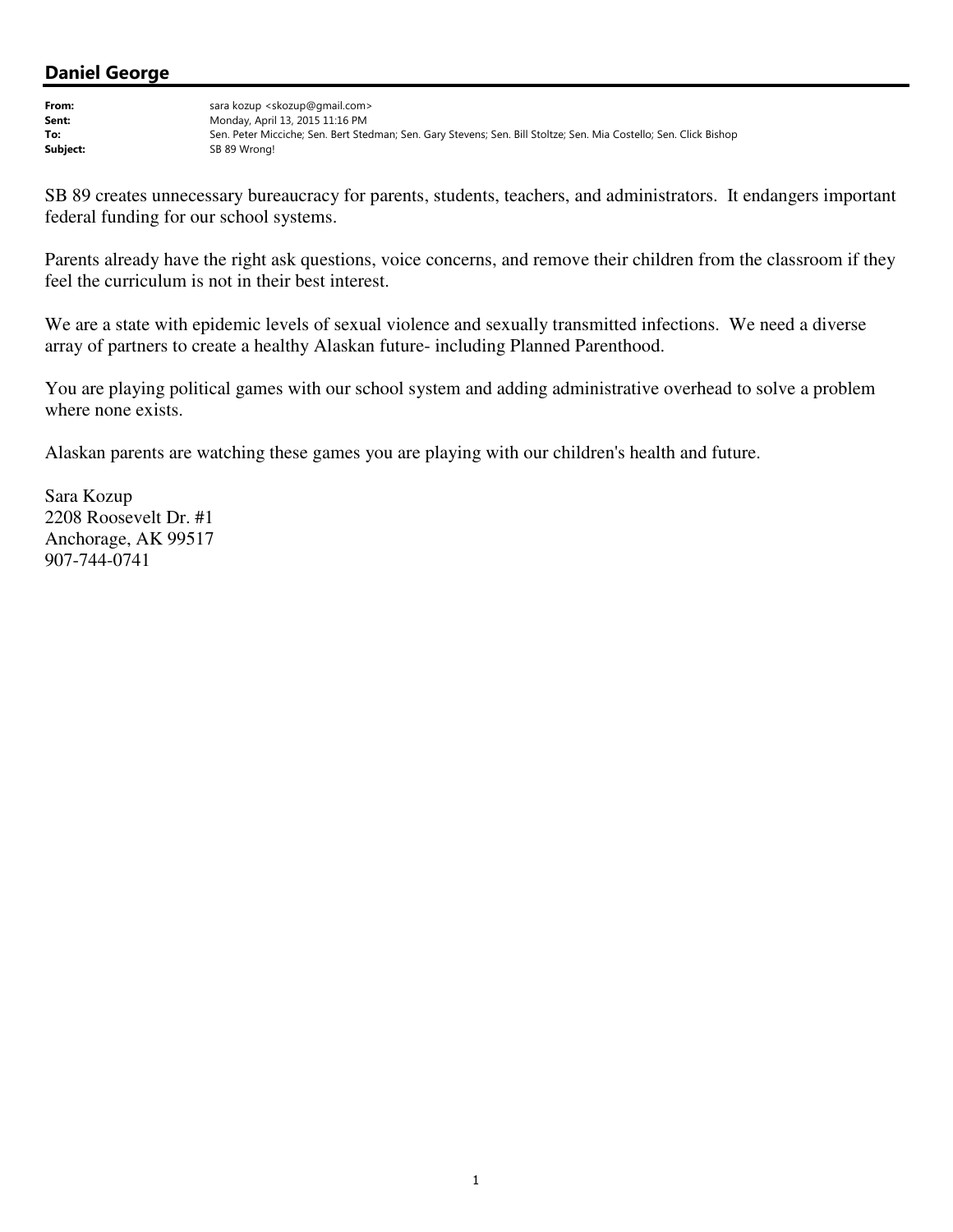From: sara kozup <skozup@gmail.com> Sent: Monday, April 13, 2015 11:16 PM To: Sen. Peter Micciche; Sen. Bert Stedman; Sen. Gary Stevens; Sen. Bill Stoltze; Sen. Mia Costello; Sen. Click Bishop<br>Subject: SB 89 Wrong! SB 89 Wrong!

SB 89 creates unnecessary bureaucracy for parents, students, teachers, and administrators. It endangers important federal funding for our school systems.

Parents already have the right ask questions, voice concerns, and remove their children from the classroom if they feel the curriculum is not in their best interest.

We are a state with epidemic levels of sexual violence and sexually transmitted infections. We need a diverse array of partners to create a healthy Alaskan future- including Planned Parenthood.

You are playing political games with our school system and adding administrative overhead to solve a problem where none exists.

Alaskan parents are watching these games you are playing with our children's health and future.

Sara Kozup 2208 Roosevelt Dr. #1 Anchorage, AK 99517 907-744-0741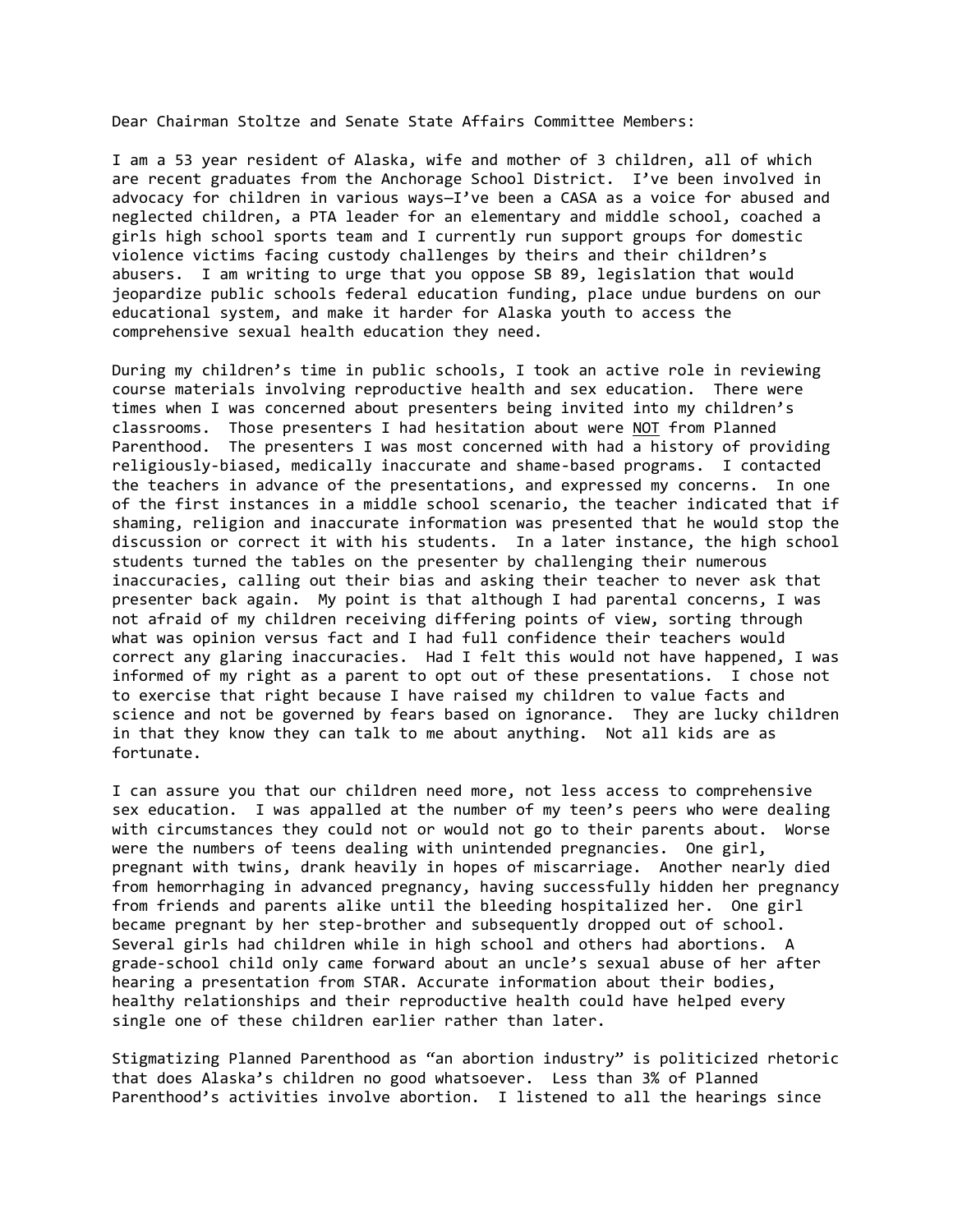Dear Chairman Stoltze and Senate State Affairs Committee Members:

I am a 53 year resident of Alaska, wife and mother of 3 children, all of which are recent graduates from the Anchorage School District. I've been involved in advocacy for children in various ways—I've been a CASA as a voice for abused and neglected children, a PTA leader for an elementary and middle school, coached a girls high school sports team and I currently run support groups for domestic violence victims facing custody challenges by theirs and their children's abusers. I am writing to urge that you oppose SB 89, legislation that would jeopardize public schools federal education funding, place undue burdens on our educational system, and make it harder for Alaska youth to access the comprehensive sexual health education they need.

During my children's time in public schools, I took an active role in reviewing course materials involving reproductive health and sex education. There were times when I was concerned about presenters being invited into my children's classrooms. Those presenters I had hesitation about were NOT from Planned Parenthood. The presenters I was most concerned with had a history of providing religiously-biased, medically inaccurate and shame-based programs. I contacted the teachers in advance of the presentations, and expressed my concerns. In one of the first instances in a middle school scenario, the teacher indicated that if shaming, religion and inaccurate information was presented that he would stop the discussion or correct it with his students. In a later instance, the high school students turned the tables on the presenter by challenging their numerous inaccuracies, calling out their bias and asking their teacher to never ask that presenter back again. My point is that although I had parental concerns, I was not afraid of my children receiving differing points of view, sorting through what was opinion versus fact and I had full confidence their teachers would correct any glaring inaccuracies. Had I felt this would not have happened, I was informed of my right as a parent to opt out of these presentations. I chose not to exercise that right because I have raised my children to value facts and science and not be governed by fears based on ignorance. They are lucky children in that they know they can talk to me about anything. Not all kids are as fortunate.

I can assure you that our children need more, not less access to comprehensive sex education. I was appalled at the number of my teen's peers who were dealing with circumstances they could not or would not go to their parents about. Worse were the numbers of teens dealing with unintended pregnancies. One girl, pregnant with twins, drank heavily in hopes of miscarriage. Another nearly died from hemorrhaging in advanced pregnancy, having successfully hidden her pregnancy from friends and parents alike until the bleeding hospitalized her. One girl became pregnant by her step-brother and subsequently dropped out of school. Several girls had children while in high school and others had abortions. A grade-school child only came forward about an uncle's sexual abuse of her after hearing a presentation from STAR. Accurate information about their bodies, healthy relationships and their reproductive health could have helped every single one of these children earlier rather than later.

Stigmatizing Planned Parenthood as "an abortion industry" is politicized rhetoric that does Alaska's children no good whatsoever. Less than 3% of Planned Parenthood's activities involve abortion. I listened to all the hearings since